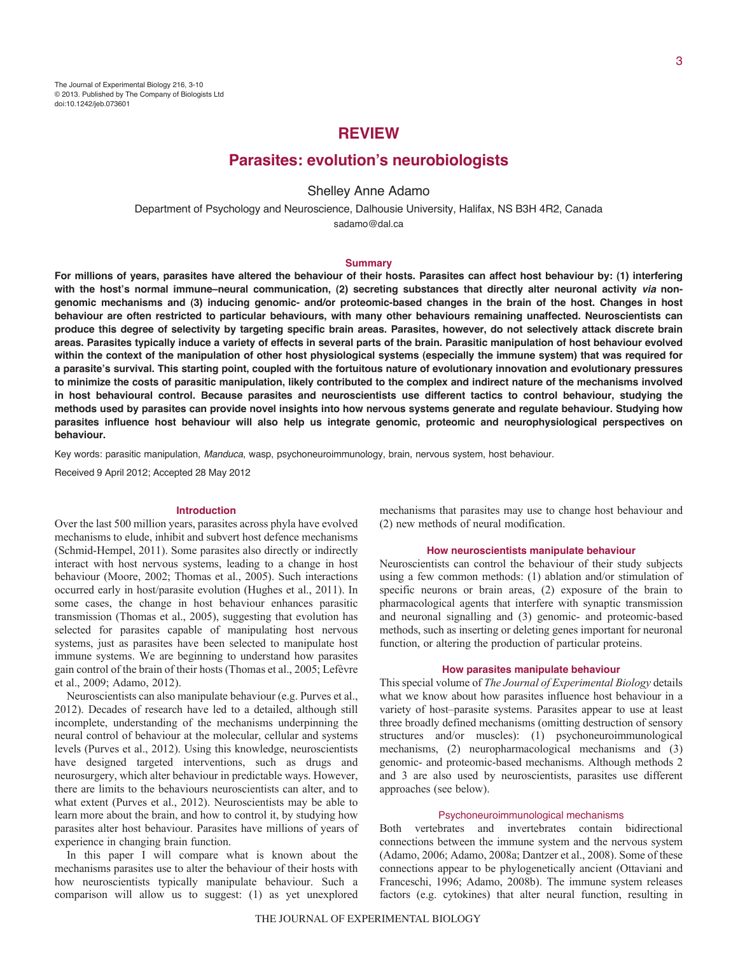# **REVIEW**

# **Parasites: evolution's neurobiologists**

# Shelley Anne Adamo

Department of Psychology and Neuroscience, Dalhousie University, Halifax, NS B3H 4R2, Canada sadamo@dal.ca

#### **Summary**

**For millions of years, parasites have altered the behaviour of their hosts. Parasites can affect host behaviour by: (1) interfering with the host's normal immune–neural communication, (2) secreting substances that directly alter neuronal activity** *via* **nongenomic mechanisms and (3) inducing genomic- and/or proteomic-based changes in the brain of the host. Changes in host behaviour are often restricted to particular behaviours, with many other behaviours remaining unaffected. Neuroscientists can produce this degree of selectivity by targeting specific brain areas. Parasites, however, do not selectively attack discrete brain areas. Parasites typically induce a variety of effects in several parts of the brain. Parasitic manipulation of host behaviour evolved within the context of the manipulation of other host physiological systems (especially the immune system) that was required for a parasite's survival. This starting point, coupled with the fortuitous nature of evolutionary innovation and evolutionary pressures to minimize the costs of parasitic manipulation, likely contributed to the complex and indirect nature of the mechanisms involved in host behavioural control. Because parasites and neuroscientists use different tactics to control behaviour, studying the methods used by parasites can provide novel insights into how nervous systems generate and regulate behaviour. Studying how parasites influence host behaviour will also help us integrate genomic, proteomic and neurophysiological perspectives on behaviour.**

Key words: parasitic manipulation, *Manduca*, wasp, psychoneuroimmunology, brain, nervous system, host behaviour.

Received 9 April 2012; Accepted 28 May 2012

### **Introduction**

Over the last 500 million years, parasites across phyla have evolved mechanisms to elude, inhibit and subvert host defence mechanisms (Schmid-Hempel, 2011). Some parasites also directly or indirectly interact with host nervous systems, leading to a change in host behaviour (Moore, 2002; Thomas et al., 2005). Such interactions occurred early in host/parasite evolution (Hughes et al., 2011). In some cases, the change in host behaviour enhances parasitic transmission (Thomas et al., 2005), suggesting that evolution has selected for parasites capable of manipulating host nervous systems, just as parasites have been selected to manipulate host immune systems. We are beginning to understand how parasites gain control of the brain of their hosts (Thomas et al., 2005; Lefèvre et al., 2009; Adamo, 2012).

Neuroscientists can also manipulate behaviour (e.g. Purves et al., 2012). Decades of research have led to a detailed, although still incomplete, understanding of the mechanisms underpinning the neural control of behaviour at the molecular, cellular and systems levels (Purves et al., 2012). Using this knowledge, neuroscientists have designed targeted interventions, such as drugs and neurosurgery, which alter behaviour in predictable ways. However, there are limits to the behaviours neuroscientists can alter, and to what extent (Purves et al., 2012). Neuroscientists may be able to learn more about the brain, and how to control it, by studying how parasites alter host behaviour. Parasites have millions of years of experience in changing brain function.

In this paper I will compare what is known about the mechanisms parasites use to alter the behaviour of their hosts with how neuroscientists typically manipulate behaviour. Such a comparison will allow us to suggest: (1) as yet unexplored

mechanisms that parasites may use to change host behaviour and (2) new methods of neural modification.

## **How neuroscientists manipulate behaviour**

Neuroscientists can control the behaviour of their study subjects using a few common methods: (1) ablation and/or stimulation of specific neurons or brain areas, (2) exposure of the brain to pharmacological agents that interfere with synaptic transmission and neuronal signalling and (3) genomic- and proteomic-based methods, such as inserting or deleting genes important for neuronal function, or altering the production of particular proteins.

#### **How parasites manipulate behaviour**

This special volume of *The Journal of Experimental Biology* details what we know about how parasites influence host behaviour in a variety of host–parasite systems. Parasites appear to use at least three broadly defined mechanisms (omitting destruction of sensory structures and/or muscles): (1) psychoneuroimmunological mechanisms, (2) neuropharmacological mechanisms and (3) genomic- and proteomic-based mechanisms. Although methods 2 and 3 are also used by neuroscientists, parasites use different approaches (see below).

### Psychoneuroimmunological mechanisms

Both vertebrates and invertebrates contain bidirectional connections between the immune system and the nervous system (Adamo, 2006; Adamo, 2008a; Dantzer et al., 2008). Some of these connections appear to be phylogenetically ancient (Ottaviani and Franceschi, 1996; Adamo, 2008b). The immune system releases factors (e.g. cytokines) that alter neural function, resulting in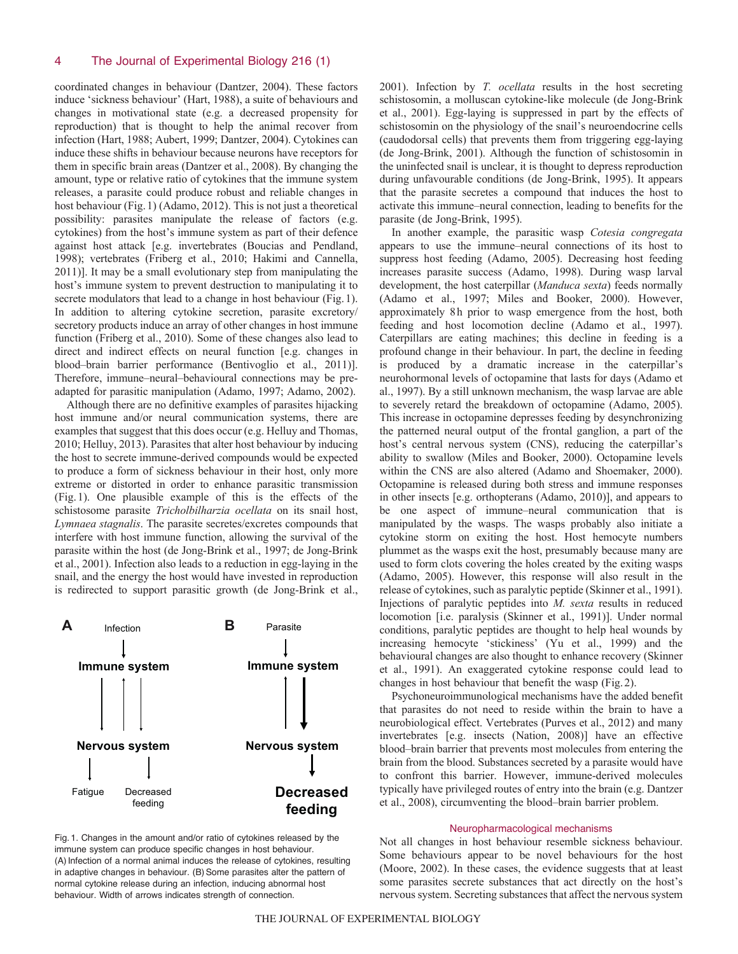coordinated changes in behaviour (Dantzer, 2004). These factors induce 'sickness behaviour' (Hart, 1988), a suite of behaviours and changes in motivational state (e.g. a decreased propensity for reproduction) that is thought to help the animal recover from infection (Hart, 1988; Aubert, 1999; Dantzer, 2004). Cytokines can induce these shifts in behaviour because neurons have receptors for them in specific brain areas (Dantzer et al., 2008). By changing the amount, type or relative ratio of cytokines that the immune system releases, a parasite could produce robust and reliable changes in host behaviour (Fig.1) (Adamo, 2012). This is not just a theoretical possibility: parasites manipulate the release of factors (e.g. cytokines) from the host's immune system as part of their defence against host attack [e.g. invertebrates (Boucias and Pendland, 1998); vertebrates (Friberg et al., 2010; Hakimi and Cannella, 2011)]. It may be a small evolutionary step from manipulating the host's immune system to prevent destruction to manipulating it to secrete modulators that lead to a change in host behaviour (Fig.1). In addition to altering cytokine secretion, parasite excretory/ secretory products induce an array of other changes in host immune function (Friberg et al., 2010). Some of these changes also lead to direct and indirect effects on neural function [e.g. changes in blood–brain barrier performance (Bentivoglio et al., 2011)]. Therefore, immune–neural–behavioural connections may be preadapted for parasitic manipulation (Adamo, 1997; Adamo, 2002).

Although there are no definitive examples of parasites hijacking host immune and/or neural communication systems, there are examples that suggest that this does occur (e.g. Helluy and Thomas, 2010; Helluy, 2013). Parasites that alter host behaviour by inducing the host to secrete immune-derived compounds would be expected to produce a form of sickness behaviour in their host, only more extreme or distorted in order to enhance parasitic transmission (Fig.1). One plausible example of this is the effects of the schistosome parasite *Tricholbilharzia ocellata* on its snail host, *Lymnaea stagnalis*. The parasite secretes/excretes compounds that interfere with host immune function, allowing the survival of the parasite within the host (de Jong-Brink et al., 1997; de Jong-Brink et al., 2001). Infection also leads to a reduction in egg-laying in the snail, and the energy the host would have invested in reproduction is redirected to support parasitic growth (de Jong-Brink et al.,



the uninfected snail is unclear, it is thought to depress reproduction during unfavourable conditions (de Jong-Brink, 1995). It appears that the parasite secretes a compound that induces the host to activate this immune–neural connection, leading to benefits for the parasite (de Jong-Brink, 1995). In another example, the parasitic wasp *Cotesia congregata* appears to use the immune–neural connections of its host to suppress host feeding (Adamo, 2005). Decreasing host feeding

increases parasite success (Adamo, 1998). During wasp larval development, the host caterpillar (*Manduca sexta*) feeds normally (Adamo et al., 1997; Miles and Booker, 2000). However, approximately 8h prior to wasp emergence from the host, both feeding and host locomotion decline (Adamo et al., 1997). Caterpillars are eating machines; this decline in feeding is a profound change in their behaviour. In part, the decline in feeding is produced by a dramatic increase in the caterpillar's neurohormonal levels of octopamine that lasts for days (Adamo et al., 1997). By a still unknown mechanism, the wasp larvae are able to severely retard the breakdown of octopamine (Adamo, 2005). This increase in octopamine depresses feeding by desynchronizing the patterned neural output of the frontal ganglion, a part of the host's central nervous system (CNS), reducing the caterpillar's ability to swallow (Miles and Booker, 2000). Octopamine levels within the CNS are also altered (Adamo and Shoemaker, 2000). Octopamine is released during both stress and immune responses in other insects [e.g. orthopterans (Adamo, 2010)], and appears to be one aspect of immune–neural communication that is manipulated by the wasps. The wasps probably also initiate a cytokine storm on exiting the host. Host hemocyte numbers plummet as the wasps exit the host, presumably because many are used to form clots covering the holes created by the exiting wasps (Adamo, 2005). However, this response will also result in the release of cytokines, such as paralytic peptide (Skinner et al., 1991). Injections of paralytic peptides into *M. sexta* results in reduced locomotion [i.e. paralysis (Skinner et al., 1991)]. Under normal conditions, paralytic peptides are thought to help heal wounds by increasing hemocyte 'stickiness' (Yu et al., 1999) and the behavioural changes are also thought to enhance recovery (Skinner et al., 1991). An exaggerated cytokine response could lead to changes in host behaviour that benefit the wasp (Fig.2).

2001). Infection by *T. ocellata* results in the host secreting schistosomin, a molluscan cytokine-like molecule (de Jong-Brink et al., 2001). Egg-laying is suppressed in part by the effects of schistosomin on the physiology of the snail's neuroendocrine cells (caudodorsal cells) that prevents them from triggering egg-laying (de Jong-Brink, 2001). Although the function of schistosomin in

Psychoneuroimmunological mechanisms have the added benefit that parasites do not need to reside within the brain to have a neurobiological effect. Vertebrates (Purves et al., 2012) and many invertebrates [e.g. insects (Nation, 2008)] have an effective blood–brain barrier that prevents most molecules from entering the brain from the blood. Substances secreted by a parasite would have to confront this barrier. However, immune-derived molecules typically have privileged routes of entry into the brain (e.g. Dantzer et al., 2008), circumventing the blood–brain barrier problem.

### Neuropharmacological mechanisms

Not all changes in host behaviour resemble sickness behaviour. Some behaviours appear to be novel behaviours for the host (Moore, 2002). In these cases, the evidence suggests that at least some parasites secrete substances that act directly on the host's nervous system. Secreting substances that affect the nervous system

Fig. 1. Changes in the amount and/or ratio of cytokines released by the immune system can produce specific changes in host behaviour. (A) Infection of a normal animal induces the release of cytokines, resulting in adaptive changes in behaviour. (B) Some parasites alter the pattern of normal cytokine release during an infection, inducing abnormal host behaviour. Width of arrows indicates strength of connection.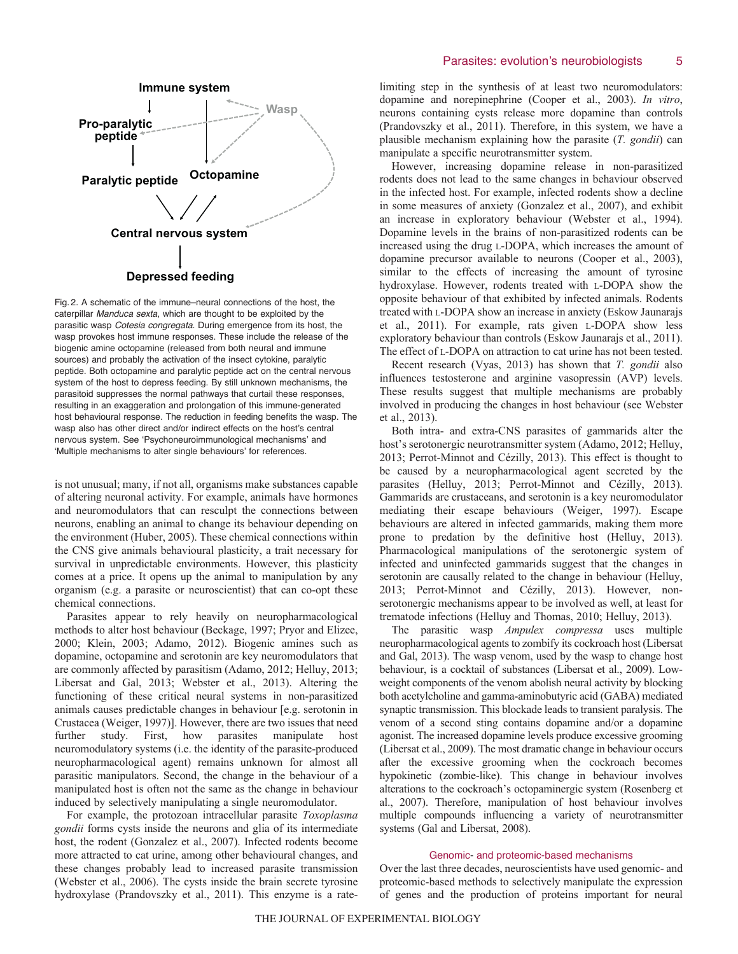## Parasites: evolution's neurobiologists 5



Fig. 2. A schematic of the immune–neural connections of the host, the caterpillar *Manduca sexta*, which are thought to be exploited by the parasitic wasp *Cotesia congregata*. During emergence from its host, the wasp provokes host immune responses. These include the release of the biogenic amine octopamine (released from both neural and immune sources) and probably the activation of the insect cytokine, paralytic peptide. Both octopamine and paralytic peptide act on the central nervous system of the host to depress feeding. By still unknown mechanisms, the parasitoid suppresses the normal pathways that curtail these responses, resulting in an exaggeration and prolongation of this immune-generated host behavioural response. The reduction in feeding benefits the wasp. The wasp also has other direct and/or indirect effects on the host's central nervous system. See ʻPsychoneuroimmunological mechanisms' and ʻMultiple mechanisms to alter single behaviours' for references.

is not unusual; many, if not all, organisms make substances capable of altering neuronal activity. For example, animals have hormones and neuromodulators that can resculpt the connections between neurons, enabling an animal to change its behaviour depending on the environment (Huber, 2005). These chemical connections within the CNS give animals behavioural plasticity, a trait necessary for survival in unpredictable environments. However, this plasticity comes at a price. It opens up the animal to manipulation by any organism (e.g. a parasite or neuroscientist) that can co-opt these chemical connections.

Parasites appear to rely heavily on neuropharmacological methods to alter host behaviour (Beckage, 1997; Pryor and Elizee, 2000; Klein, 2003; Adamo, 2012). Biogenic amines such as dopamine, octopamine and serotonin are key neuromodulators that are commonly affected by parasitism (Adamo, 2012; Helluy, 2013; Libersat and Gal, 2013; Webster et al., 2013). Altering the functioning of these critical neural systems in non-parasitized animals causes predictable changes in behaviour [e.g. serotonin in Crustacea (Weiger, 1997)]. However, there are two issues that need further study. First, how parasites manipulate host neuromodulatory systems (i.e. the identity of the parasite-produced neuropharmacological agent) remains unknown for almost all parasitic manipulators. Second, the change in the behaviour of a manipulated host is often not the same as the change in behaviour induced by selectively manipulating a single neuromodulator.

For example, the protozoan intracellular parasite *Toxoplasma gondii* forms cysts inside the neurons and glia of its intermediate host, the rodent (Gonzalez et al., 2007). Infected rodents become more attracted to cat urine, among other behavioural changes, and these changes probably lead to increased parasite transmission (Webster et al., 2006). The cysts inside the brain secrete tyrosine hydroxylase (Prandovszky et al., 2011). This enzyme is a ratelimiting step in the synthesis of at least two neuromodulators: dopamine and norepinephrine (Cooper et al., 2003). *In vitro*, neurons containing cysts release more dopamine than controls (Prandovszky et al., 2011). Therefore, in this system, we have a plausible mechanism explaining how the parasite (*T. gondii*) can manipulate a specific neurotransmitter system.

However, increasing dopamine release in non-parasitized rodents does not lead to the same changes in behaviour observed in the infected host. For example, infected rodents show a decline in some measures of anxiety (Gonzalez et al., 2007), and exhibit an increase in exploratory behaviour (Webster et al., 1994). Dopamine levels in the brains of non-parasitized rodents can be increased using the drug L-DOPA, which increases the amount of dopamine precursor available to neurons (Cooper et al., 2003), similar to the effects of increasing the amount of tyrosine hydroxylase. However, rodents treated with L-DOPA show the opposite behaviour of that exhibited by infected animals. Rodents treated with L-DOPA show an increase in anxiety (Eskow Jaunarajs et al., 2011). For example, rats given L-DOPA show less exploratory behaviour than controls (Eskow Jaunarajs et al., 2011). The effect of L-DOPA on attraction to cat urine has not been tested.

Recent research (Vyas, 2013) has shown that *T. gondii* also influences testosterone and arginine vasopressin (AVP) levels. These results suggest that multiple mechanisms are probably involved in producing the changes in host behaviour (see Webster et al., 2013).

Both intra- and extra-CNS parasites of gammarids alter the host's serotonergic neurotransmitter system (Adamo, 2012; Helluy, 2013; Perrot-Minnot and Cézilly, 2013). This effect is thought to be caused by a neuropharmacological agent secreted by the parasites (Helluy, 2013; Perrot-Minnot and Cézilly, 2013). Gammarids are crustaceans, and serotonin is a key neuromodulator mediating their escape behaviours (Weiger, 1997). Escape behaviours are altered in infected gammarids, making them more prone to predation by the definitive host (Helluy, 2013). Pharmacological manipulations of the serotonergic system of infected and uninfected gammarids suggest that the changes in serotonin are causally related to the change in behaviour (Helluy, 2013; Perrot-Minnot and Cézilly, 2013). However, nonserotonergic mechanisms appear to be involved as well, at least for trematode infections (Helluy and Thomas, 2010; Helluy, 2013).

The parasitic wasp *Ampulex compressa* uses multiple neuropharmacological agents to zombify its cockroach host (Libersat and Gal, 2013). The wasp venom, used by the wasp to change host behaviour, is a cocktail of substances (Libersat et al., 2009). Lowweight components of the venom abolish neural activity by blocking both acetylcholine and gamma-aminobutyric acid (GABA) mediated synaptic transmission. This blockade leads to transient paralysis. The venom of a second sting contains dopamine and/or a dopamine agonist. The increased dopamine levels produce excessive grooming (Libersat et al., 2009). The most dramatic change in behaviour occurs after the excessive grooming when the cockroach becomes hypokinetic (zombie-like). This change in behaviour involves alterations to the cockroach's octopaminergic system (Rosenberg et al., 2007). Therefore, manipulation of host behaviour involves multiple compounds influencing a variety of neurotransmitter systems (Gal and Libersat, 2008).

### Genomic- and proteomic-based mechanisms

Over the last three decades, neuroscientists have used genomic- and proteomic-based methods to selectively manipulate the expression of genes and the production of proteins important for neural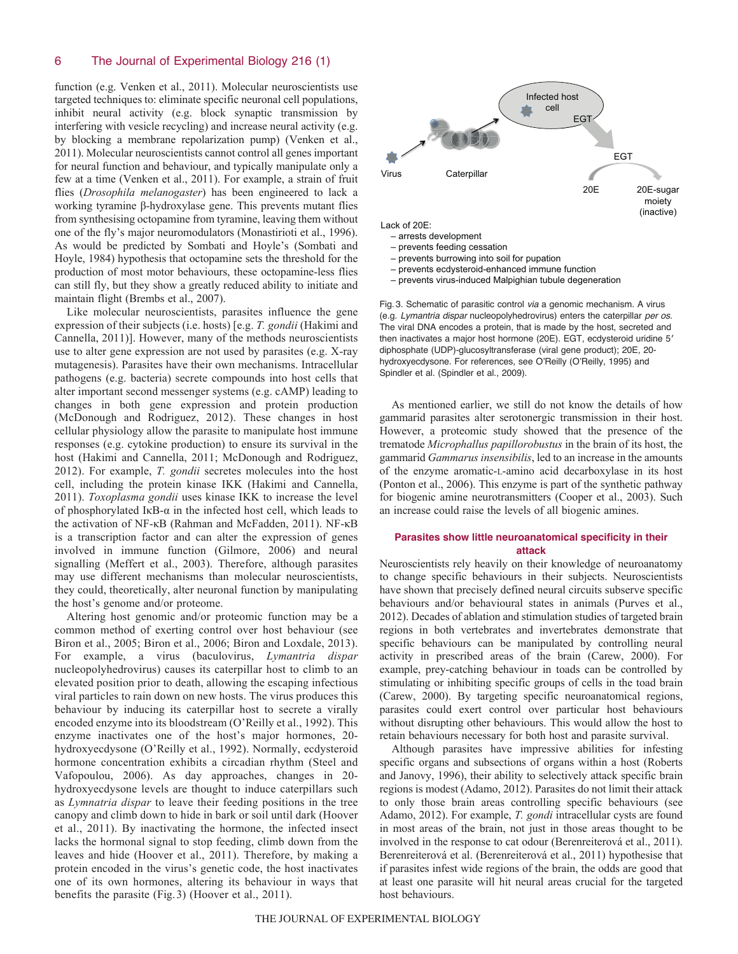function (e.g. Venken et al., 2011). Molecular neuroscientists use targeted techniques to: eliminate specific neuronal cell populations, inhibit neural activity (e.g. block synaptic transmission by interfering with vesicle recycling) and increase neural activity (e.g. by blocking a membrane repolarization pump) (Venken et al., 2011). Molecular neuroscientists cannot control all genes important for neural function and behaviour, and typically manipulate only a few at a time (Venken et al., 2011). For example, a strain of fruit flies (*Drosophila melanogaster*) has been engineered to lack a working tyramine β-hydroxylase gene. This prevents mutant flies from synthesising octopamine from tyramine, leaving them without one of the fly's major neuromodulators (Monastirioti et al., 1996). As would be predicted by Sombati and Hoyle's (Sombati and Hoyle, 1984) hypothesis that octopamine sets the threshold for the production of most motor behaviours, these octopamine-less flies can still fly, but they show a greatly reduced ability to initiate and maintain flight (Brembs et al., 2007).

Like molecular neuroscientists, parasites influence the gene expression of their subjects (i.e. hosts) [e.g. *T. gondii* (Hakimi and Cannella, 2011)]. However, many of the methods neuroscientists use to alter gene expression are not used by parasites (e.g. X-ray mutagenesis). Parasites have their own mechanisms. Intracellular pathogens (e.g. bacteria) secrete compounds into host cells that alter important second messenger systems (e.g. cAMP) leading to changes in both gene expression and protein production (McDonough and Rodriguez, 2012). These changes in host cellular physiology allow the parasite to manipulate host immune responses (e.g. cytokine production) to ensure its survival in the host (Hakimi and Cannella, 2011; McDonough and Rodriguez, 2012). For example, *T. gondii* secretes molecules into the host cell, including the protein kinase IKK (Hakimi and Cannella, 2011). *Toxoplasma gondii* uses kinase IKK to increase the level of phosphorylated IκB-α in the infected host cell, which leads to the activation of NF-κB (Rahman and McFadden, 2011). NF-κB is a transcription factor and can alter the expression of genes involved in immune function (Gilmore, 2006) and neural signalling (Meffert et al., 2003). Therefore, although parasites may use different mechanisms than molecular neuroscientists, they could, theoretically, alter neuronal function by manipulating the host's genome and/or proteome.

Altering host genomic and/or proteomic function may be a common method of exerting control over host behaviour (see Biron et al., 2005; Biron et al., 2006; Biron and Loxdale, 2013). For example, a virus (baculovirus, *Lymantria dispar* nucleopolyhedrovirus) causes its caterpillar host to climb to an elevated position prior to death, allowing the escaping infectious viral particles to rain down on new hosts. The virus produces this behaviour by inducing its caterpillar host to secrete a virally encoded enzyme into its bloodstream (O'Reilly et al., 1992). This enzyme inactivates one of the host's major hormones, 20 hydroxyecdysone (O'Reilly et al., 1992). Normally, ecdysteroid hormone concentration exhibits a circadian rhythm (Steel and Vafopoulou, 2006). As day approaches, changes in 20 hydroxyecdysone levels are thought to induce caterpillars such as *Lymnatria dispar* to leave their feeding positions in the tree canopy and climb down to hide in bark or soil until dark (Hoover et al., 2011). By inactivating the hormone, the infected insect lacks the hormonal signal to stop feeding, climb down from the leaves and hide (Hoover et al., 2011). Therefore, by making a protein encoded in the virus's genetic code, the host inactivates one of its own hormones, altering its behaviour in ways that benefits the parasite (Fig.3) (Hoover et al., 2011).



- prevents ecdysteroid-enhanced immune function
- prevents virus-induced Malpighian tubule degeneration

Fig. 3. Schematic of parasitic control *via* a genomic mechanism. A virus (e.g. *Lymantria dispar* nucleopolyhedrovirus) enters the caterpillar *per os*. The viral DNA encodes a protein, that is made by the host, secreted and then inactivates a major host hormone (20E). EGT, ecdysteroid uridine 5′ diphosphate (UDP)-glucosyltransferase (viral gene product); 20E, 20 hydroxyecdysone. For references, see O'Reilly (O'Reilly, 1995) and Spindler et al. (Spindler et al., 2009).

As mentioned earlier, we still do not know the details of how gammarid parasites alter serotonergic transmission in their host. However, a proteomic study showed that the presence of the trematode *Microphallus papillorobustus* in the brain of its host, the gammarid *Gammarus insensibilis*, led to an increase in the amounts of the enzyme aromatic-L-amino acid decarboxylase in its host (Ponton et al., 2006). This enzyme is part of the synthetic pathway for biogenic amine neurotransmitters (Cooper et al., 2003). Such an increase could raise the levels of all biogenic amines.

## **Parasites show little neuroanatomical specificity in their attack**

Neuroscientists rely heavily on their knowledge of neuroanatomy to change specific behaviours in their subjects. Neuroscientists have shown that precisely defined neural circuits subserve specific behaviours and/or behavioural states in animals (Purves et al., 2012). Decades of ablation and stimulation studies of targeted brain regions in both vertebrates and invertebrates demonstrate that specific behaviours can be manipulated by controlling neural activity in prescribed areas of the brain (Carew, 2000). For example, prey-catching behaviour in toads can be controlled by stimulating or inhibiting specific groups of cells in the toad brain (Carew, 2000). By targeting specific neuroanatomical regions, parasites could exert control over particular host behaviours without disrupting other behaviours. This would allow the host to retain behaviours necessary for both host and parasite survival.

Although parasites have impressive abilities for infesting specific organs and subsections of organs within a host (Roberts and Janovy, 1996), their ability to selectively attack specific brain regions is modest (Adamo, 2012). Parasites do not limit their attack to only those brain areas controlling specific behaviours (see Adamo, 2012). For example, *T. gondi* intracellular cysts are found in most areas of the brain, not just in those areas thought to be involved in the response to cat odour (Berenreiterová et al., 2011). Berenreiterová et al. (Berenreiterová et al., 2011) hypothesise that if parasites infest wide regions of the brain, the odds are good that at least one parasite will hit neural areas crucial for the targeted host behaviours.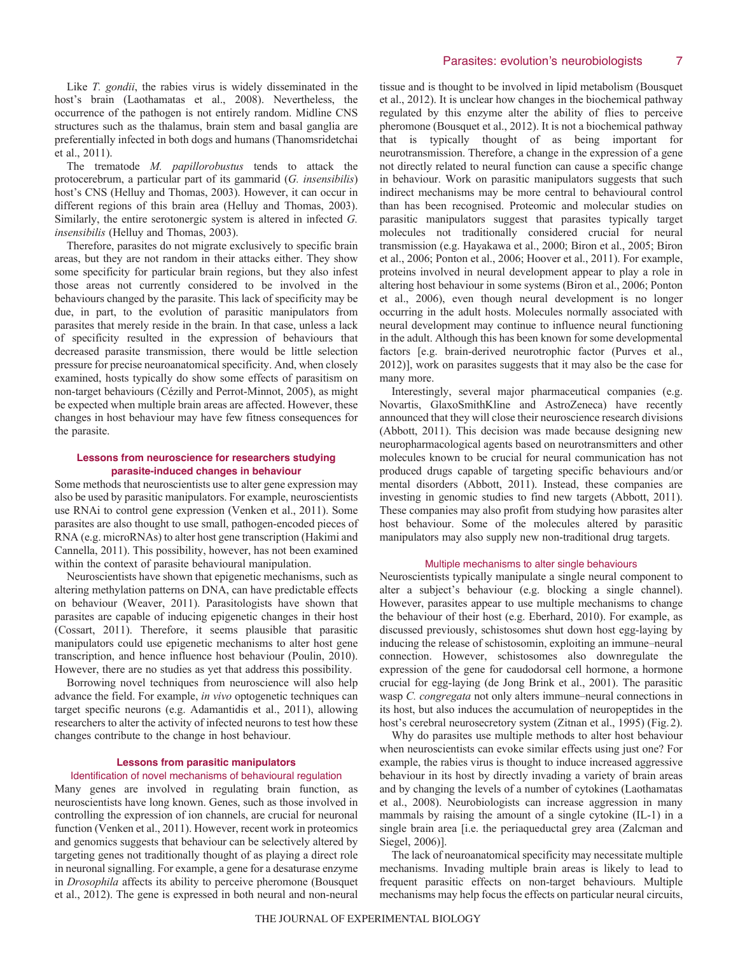Like *T. gondii*, the rabies virus is widely disseminated in the host's brain (Laothamatas et al., 2008). Nevertheless, the occurrence of the pathogen is not entirely random. Midline CNS structures such as the thalamus, brain stem and basal ganglia are preferentially infected in both dogs and humans (Thanomsridetchai et al., 2011).

The trematode *M. papillorobustus* tends to attack the protocerebrum, a particular part of its gammarid (*G. insensibilis*) host's CNS (Helluy and Thomas, 2003). However, it can occur in different regions of this brain area (Helluy and Thomas, 2003). Similarly, the entire serotonergic system is altered in infected *G. insensibilis* (Helluy and Thomas, 2003).

Therefore, parasites do not migrate exclusively to specific brain areas, but they are not random in their attacks either. They show some specificity for particular brain regions, but they also infest those areas not currently considered to be involved in the behaviours changed by the parasite. This lack of specificity may be due, in part, to the evolution of parasitic manipulators from parasites that merely reside in the brain. In that case, unless a lack of specificity resulted in the expression of behaviours that decreased parasite transmission, there would be little selection pressure for precise neuroanatomical specificity. And, when closely examined, hosts typically do show some effects of parasitism on non-target behaviours (Cézilly and Perrot-Minnot, 2005), as might be expected when multiple brain areas are affected. However, these changes in host behaviour may have few fitness consequences for the parasite.

# **Lessons from neuroscience for researchers studying parasite-induced changes in behaviour**

Some methods that neuroscientists use to alter gene expression may also be used by parasitic manipulators. For example, neuroscientists use RNAi to control gene expression (Venken et al., 2011). Some parasites are also thought to use small, pathogen-encoded pieces of RNA (e.g. microRNAs) to alter host gene transcription (Hakimi and Cannella, 2011). This possibility, however, has not been examined within the context of parasite behavioural manipulation.

Neuroscientists have shown that epigenetic mechanisms, such as altering methylation patterns on DNA, can have predictable effects on behaviour (Weaver, 2011). Parasitologists have shown that parasites are capable of inducing epigenetic changes in their host (Cossart, 2011). Therefore, it seems plausible that parasitic manipulators could use epigenetic mechanisms to alter host gene transcription, and hence influence host behaviour (Poulin, 2010). However, there are no studies as yet that address this possibility.

Borrowing novel techniques from neuroscience will also help advance the field. For example, *in vivo* optogenetic techniques can target specific neurons (e.g. Adamantidis et al., 2011), allowing researchers to alter the activity of infected neurons to test how these changes contribute to the change in host behaviour.

### **Lessons from parasitic manipulators**

# Identification of novel mechanisms of behavioural regulation

Many genes are involved in regulating brain function, as neuroscientists have long known. Genes, such as those involved in controlling the expression of ion channels, are crucial for neuronal function (Venken et al., 2011). However, recent work in proteomics and genomics suggests that behaviour can be selectively altered by targeting genes not traditionally thought of as playing a direct role in neuronal signalling. For example, a gene for a desaturase enzyme in *Drosophila* affects its ability to perceive pheromone (Bousquet et al., 2012). The gene is expressed in both neural and non-neural

tissue and is thought to be involved in lipid metabolism (Bousquet et al., 2012). It is unclear how changes in the biochemical pathway regulated by this enzyme alter the ability of flies to perceive pheromone (Bousquet et al., 2012). It is not a biochemical pathway that is typically thought of as being important for neurotransmission. Therefore, a change in the expression of a gene not directly related to neural function can cause a specific change in behaviour. Work on parasitic manipulators suggests that such indirect mechanisms may be more central to behavioural control than has been recognised. Proteomic and molecular studies on parasitic manipulators suggest that parasites typically target molecules not traditionally considered crucial for neural transmission (e.g. Hayakawa et al., 2000; Biron et al., 2005; Biron et al., 2006; Ponton et al., 2006; Hoover et al., 2011). For example, proteins involved in neural development appear to play a role in altering host behaviour in some systems (Biron et al., 2006; Ponton et al., 2006), even though neural development is no longer occurring in the adult hosts. Molecules normally associated with neural development may continue to influence neural functioning in the adult. Although this has been known for some developmental factors [e.g. brain-derived neurotrophic factor (Purves et al., 2012)], work on parasites suggests that it may also be the case for many more.

Interestingly, several major pharmaceutical companies (e.g. Novartis, GlaxoSmithKline and AstroZeneca) have recently announced that they will close their neuroscience research divisions (Abbott, 2011). This decision was made because designing new neuropharmacological agents based on neurotransmitters and other molecules known to be crucial for neural communication has not produced drugs capable of targeting specific behaviours and/or mental disorders (Abbott, 2011). Instead, these companies are investing in genomic studies to find new targets (Abbott, 2011). These companies may also profit from studying how parasites alter host behaviour. Some of the molecules altered by parasitic manipulators may also supply new non-traditional drug targets.

# Multiple mechanisms to alter single behaviours

Neuroscientists typically manipulate a single neural component to alter a subject's behaviour (e.g. blocking a single channel). However, parasites appear to use multiple mechanisms to change the behaviour of their host (e.g. Eberhard, 2010). For example, as discussed previously, schistosomes shut down host egg-laying by inducing the release of schistosomin, exploiting an immune–neural connection. However, schistosomes also downregulate the expression of the gene for caudodorsal cell hormone, a hormone crucial for egg-laying (de Jong Brink et al., 2001). The parasitic wasp *C. congregata* not only alters immune–neural connections in its host, but also induces the accumulation of neuropeptides in the host's cerebral neurosecretory system (Zitnan et al., 1995) (Fig.2).

Why do parasites use multiple methods to alter host behaviour when neuroscientists can evoke similar effects using just one? For example, the rabies virus is thought to induce increased aggressive behaviour in its host by directly invading a variety of brain areas and by changing the levels of a number of cytokines (Laothamatas et al., 2008). Neurobiologists can increase aggression in many mammals by raising the amount of a single cytokine (IL-1) in a single brain area [i.e. the periaqueductal grey area (Zalcman and Siegel, 2006)].

The lack of neuroanatomical specificity may necessitate multiple mechanisms. Invading multiple brain areas is likely to lead to frequent parasitic effects on non-target behaviours. Multiple mechanisms may help focus the effects on particular neural circuits,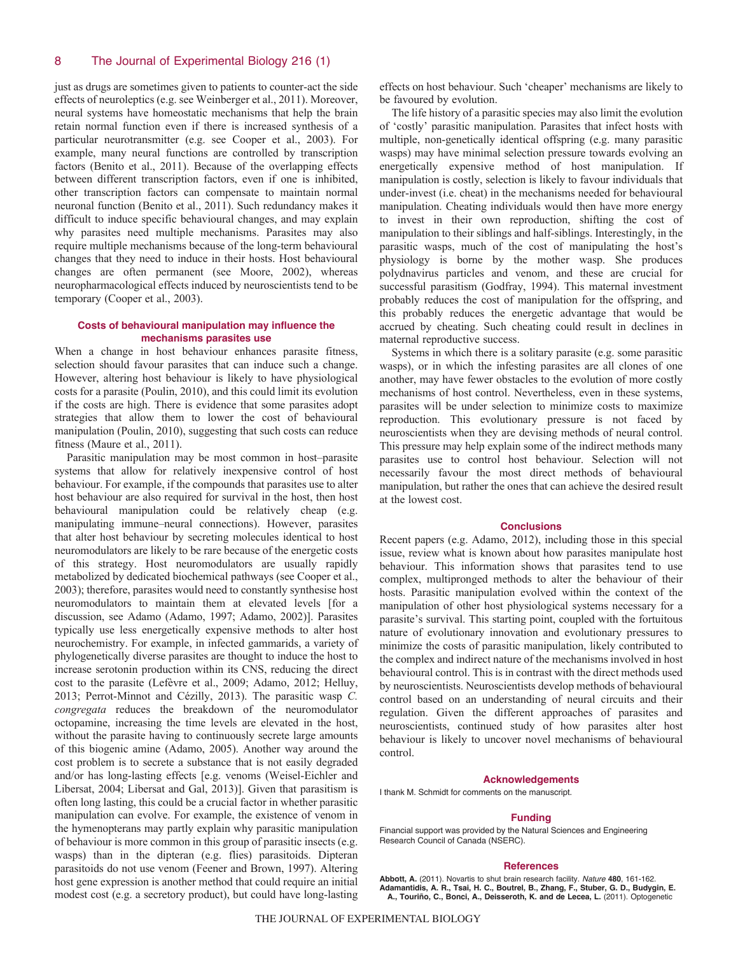just as drugs are sometimes given to patients to counter-act the side effects of neuroleptics (e.g. see Weinberger et al., 2011). Moreover, neural systems have homeostatic mechanisms that help the brain retain normal function even if there is increased synthesis of a particular neurotransmitter (e.g. see Cooper et al., 2003). For example, many neural functions are controlled by transcription factors (Benito et al., 2011). Because of the overlapping effects between different transcription factors, even if one is inhibited, other transcription factors can compensate to maintain normal neuronal function (Benito et al., 2011). Such redundancy makes it difficult to induce specific behavioural changes, and may explain why parasites need multiple mechanisms. Parasites may also require multiple mechanisms because of the long-term behavioural changes that they need to induce in their hosts. Host behavioural changes are often permanent (see Moore, 2002), whereas neuropharmacological effects induced by neuroscientists tend to be temporary (Cooper et al., 2003).

# **Costs of behavioural manipulation may influence the mechanisms parasites use**

When a change in host behaviour enhances parasite fitness, selection should favour parasites that can induce such a change. However, altering host behaviour is likely to have physiological costs for a parasite (Poulin, 2010), and this could limit its evolution if the costs are high. There is evidence that some parasites adopt strategies that allow them to lower the cost of behavioural manipulation (Poulin, 2010), suggesting that such costs can reduce fitness (Maure et al., 2011).

Parasitic manipulation may be most common in host–parasite systems that allow for relatively inexpensive control of host behaviour. For example, if the compounds that parasites use to alter host behaviour are also required for survival in the host, then host behavioural manipulation could be relatively cheap (e.g. manipulating immune–neural connections). However, parasites that alter host behaviour by secreting molecules identical to host neuromodulators are likely to be rare because of the energetic costs of this strategy. Host neuromodulators are usually rapidly metabolized by dedicated biochemical pathways (see Cooper et al., 2003); therefore, parasites would need to constantly synthesise host neuromodulators to maintain them at elevated levels [for a discussion, see Adamo (Adamo, 1997; Adamo, 2002)]. Parasites typically use less energetically expensive methods to alter host neurochemistry. For example, in infected gammarids, a variety of phylogenetically diverse parasites are thought to induce the host to increase serotonin production within its CNS, reducing the direct cost to the parasite (Lefèvre et al., 2009; Adamo, 2012; Helluy, 2013; Perrot-Minnot and Cézilly, 2013). The parasitic wasp *C. congregata* reduces the breakdown of the neuromodulator octopamine, increasing the time levels are elevated in the host, without the parasite having to continuously secrete large amounts of this biogenic amine (Adamo, 2005). Another way around the cost problem is to secrete a substance that is not easily degraded and/or has long-lasting effects [e.g. venoms (Weisel-Eichler and Libersat, 2004; Libersat and Gal, 2013)]. Given that parasitism is often long lasting, this could be a crucial factor in whether parasitic manipulation can evolve. For example, the existence of venom in the hymenopterans may partly explain why parasitic manipulation of behaviour is more common in this group of parasitic insects (e.g. wasps) than in the dipteran (e.g. flies) parasitoids. Dipteran parasitoids do not use venom (Feener and Brown, 1997). Altering host gene expression is another method that could require an initial modest cost (e.g. a secretory product), but could have long-lasting

effects on host behaviour. Such 'cheaper' mechanisms are likely to be favoured by evolution.

The life history of a parasitic species may also limit the evolution of 'costly' parasitic manipulation. Parasites that infect hosts with multiple, non-genetically identical offspring (e.g. many parasitic wasps) may have minimal selection pressure towards evolving an energetically expensive method of host manipulation. If manipulation is costly, selection is likely to favour individuals that under-invest (i.e. cheat) in the mechanisms needed for behavioural manipulation. Cheating individuals would then have more energy to invest in their own reproduction, shifting the cost of manipulation to their siblings and half-siblings. Interestingly, in the parasitic wasps, much of the cost of manipulating the host's physiology is borne by the mother wasp. She produces polydnavirus particles and venom, and these are crucial for successful parasitism (Godfray, 1994). This maternal investment probably reduces the cost of manipulation for the offspring, and this probably reduces the energetic advantage that would be accrued by cheating. Such cheating could result in declines in maternal reproductive success.

Systems in which there is a solitary parasite (e.g. some parasitic wasps), or in which the infesting parasites are all clones of one another, may have fewer obstacles to the evolution of more costly mechanisms of host control. Nevertheless, even in these systems, parasites will be under selection to minimize costs to maximize reproduction. This evolutionary pressure is not faced by neuroscientists when they are devising methods of neural control. This pressure may help explain some of the indirect methods many parasites use to control host behaviour. Selection will not necessarily favour the most direct methods of behavioural manipulation, but rather the ones that can achieve the desired result at the lowest cost.

#### **Conclusions**

Recent papers (e.g. Adamo, 2012), including those in this special issue, review what is known about how parasites manipulate host behaviour. This information shows that parasites tend to use complex, multipronged methods to alter the behaviour of their hosts. Parasitic manipulation evolved within the context of the manipulation of other host physiological systems necessary for a parasite's survival. This starting point, coupled with the fortuitous nature of evolutionary innovation and evolutionary pressures to minimize the costs of parasitic manipulation, likely contributed to the complex and indirect nature of the mechanisms involved in host behavioural control. This is in contrast with the direct methods used by neuroscientists. Neuroscientists develop methods of behavioural control based on an understanding of neural circuits and their regulation. Given the different approaches of parasites and neuroscientists, continued study of how parasites alter host behaviour is likely to uncover novel mechanisms of behavioural control.

#### **Acknowledgements**

I thank M. Schmidt for comments on the manuscript.

#### **Funding**

Financial support was provided by the Natural Sciences and Engineering Research Council of Canada (NSERC).

#### **References**

Abbott, A. (2011). Novartis to shut brain research facility. Nature 480, 161-162.<br>Adamantidis, A. R., Tsai, H. C., Boutrel, B., Zhang, F., Stuber, G. D., Budygin, E.<br>A., Touriño, C., Bonci, A., Deisseroth, K. and de Lecea,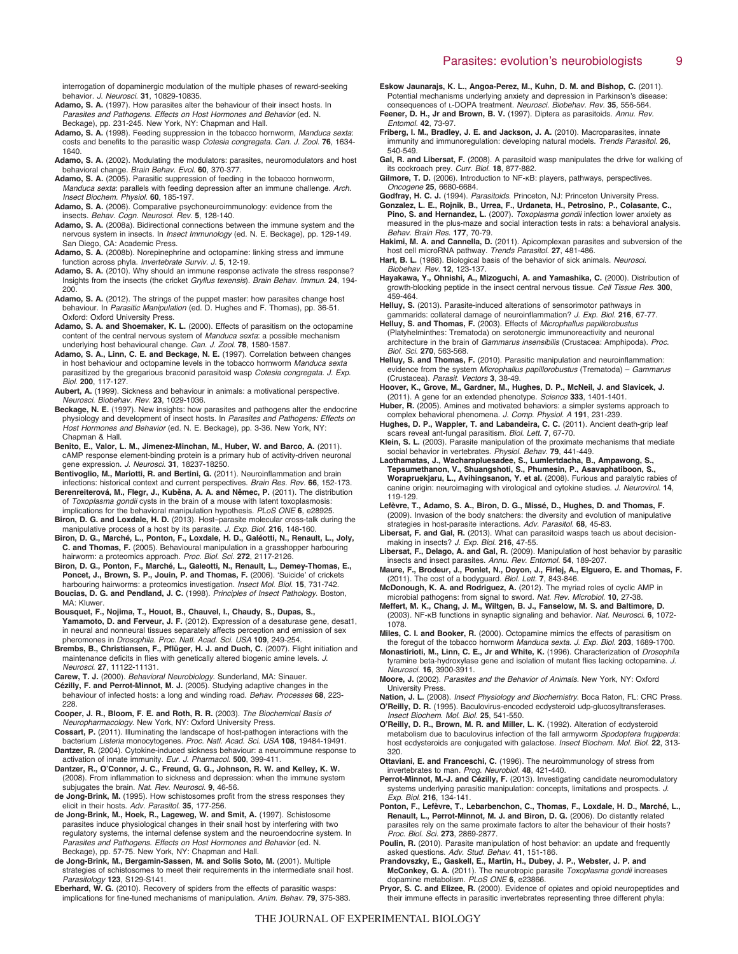interrogation of dopaminergic modulation of the multiple phases of reward-seeking behavior. *J. Neurosci.* **31**, 10829-10835.

- **Adamo, S. A.** (1997). How parasites alter the behaviour of their insect hosts. In *Parasites and Pathogens. Effects on Host Hormones and Behavior* (ed. N. Beckage), pp. 231-245. New York, NY: Chapman and Hall.
- **Adamo, S. A.** (1998). Feeding suppression in the tobacco hornworm, *Manduca sexta*: costs and benefits to the parasitic wasp *Cotesia congregata. Can. J. Zool.* **76**, 1634- 1640.
- **Adamo, S. A.** (2002). Modulating the modulators: parasites, neuromodulators and host behavioral change. *Brain Behav. Evol.* **60**, 370-377.
- **Adamo, S. A.** (2005). Parasitic suppression of feeding in the tobacco hornworm, *Manduca sexta*: parallels with feeding depression after an immune challenge. *Arch. Insect Biochem. Physiol.* **60**, 185-197.
- **Adamo, S. A.** (2006). Comparative psychoneuroimmunology: evidence from the insects. *Behav. Cogn. Neurosci. Rev.* **5**, 128-140.
- **Adamo, S. A.** (2008a). Bidirectional connections between the immune system and the nervous system in insects. In *Insect Immunology* (ed. N. E. Beckage), pp. 129-149. San Diego, CA: Academic Press.
- **Adamo, S. A.** (2008b). Norepinephrine and octopamine: linking stress and immune function across phyla. *Invertebrate Surviv. J.* **5**, 12-19.
- **Adamo, S. A.** (2010). Why should an immune response activate the stress response? Insights from the insects (the cricket *Gryllus texensis*). *Brain Behav. Immun.* **24**, 194- 200.
- **Adamo, S. A.** (2012). The strings of the puppet master: how parasites change host behaviour. In *Parasitic Manipulation* (ed. D. Hughes and F. Thomas), pp. 36-51. Oxford: Oxford University Press.
- **Adamo, S. A. and Shoemaker, K. L.** (2000). Effects of parasitism on the octopamine content of the central nervous system of *Manduca sexta*: a possible mechanism underlying host behavioural change. *Can. J. Zool.* **78**, 1580-1587.
- **Adamo, S. A., Linn, C. E. and Beckage, N. E.** (1997). Correlation between changes in host behaviour and octopamine levels in the tobacco hornworm *Manduca sexta* parasitized by the gregarious braconid parasitoid wasp *Cotesia congregata. J. Exp. Biol.* **200**, 117-127.
- **Aubert, A.** (1999). Sickness and behaviour in animals: a motivational perspective. *Neurosci. Biobehav. Rev.* **23**, 1029-1036.
- **Beckage, N. E.** (1997). New insights: how parasites and pathogens alter the endocrine physiology and development of insect hosts. In *Parasites and Pathogens: Effects on Host Hormones and Behavior* (ed. N. E. Beckage), pp. 3-36. New York, NY: Chapman & Hall.
- **Benito, E., Valor, L. M., Jimenez-Minchan, M., Huber, W. and Barco, A.** (2011). cAMP response element-binding protein is a primary hub of activity-driven neuronal gene expression. *J. Neurosci.* **31**, 18237-18250.
- **Bentivoglio, M., Mariotti, R. and Bertini, G.** (2011). Neuroinflammation and brain infections: historical context and current perspectives. *Brain Res. Rev.* **66**, 152-173. **Berenreiterová, M., Flegr, J., Kuběna, A. A. and Němec, P.** (2011). The distribution

of *Toxoplasma gondii* cysts in the brain of a mouse with latent toxoplasmosis: implications for the behavioral manipulation hypothesis. *PLoS ONE* **6**, e28925.

**Biron, D. G. and Loxdale, H. D.** (2013). Host–parasite molecular cross-talk during the

- manipulative process of a host by its parasite. *J. Exp. Biol.* **216**, 148-160. **Biron, D. G., Marché, L., Ponton, F., Loxdale, H. D., Galéotti, N., Renault, L., Joly, C. and Thomas, F.** (2005). Behavioural manipulation in a grasshopper harbouring hairworm: a proteomics approach. *Proc. Biol. Sci.* **272**, 2117-2126.
- **Biron, D. G., Ponton, F., Marché, L., Galeotti, N., Renault, L., Demey-Thomas, E., Poncet, J., Brown, S. P., Jouin, P. and Thomas, F.** (2006). ʻSuicide' of crickets harbouring hairworms: a proteomics investigation. *Insect Mol. Biol.* **15**, 731-742.
- **Boucias, D. G. and Pendland, J. C.** (1998). *Principles of Insect Pathology*. Boston, MA: Kluwer.
- **Bousquet, F., Nojima, T., Houot, B., Chauvel, I., Chaudy, S., Dupas, S., Yamamoto, D. and Ferveur, J. F.** (2012). Expression of a desaturase gene, desat1, in neural and nonneural tissues separately affects perception and emission of sex pheromones in *Drosophila. Proc. Natl. Acad. Sci. USA* **109**, 249-254.

**Brembs, B., Christiansen, F., Pflüger, H. J. and Duch, C.** (2007). Flight initiation and maintenance deficits in flies with genetically altered biogenic amine levels. *J. Neurosci.* **27**, 11122-11131.

- **Carew, T. J.** (2000). *Behavioral Neurobiology*. Sunderland, MA: Sinauer.
- **Cézilly, F. and Perrot-Minnot, M. J.** (2005). Studying adaptive changes in the behaviour of infected hosts: a long and winding road. *Behav. Processes* **68**, 223- 228.
- **Cooper, J. R., Bloom, F. E. and Roth, R. R.** (2003). *The Biochemical Basis of Neuropharmacology*. New York, NY: Oxford University Press.
- **Cossart, P.** (2011). Illuminating the landscape of host-pathogen interactions with the bacterium *Listeria* monocytogenes. *Proc. Natl. Acad. Sci. USA* **108**, 19484-19491.
- **Dantzer, R.** (2004). Cytokine-induced sickness behaviour: a neuroimmune response to activation of innate immunity. *Eur. J. Pharmacol.* **500**, 399-411.
- **Dantzer, R., O'Connor, J. C., Freund, G. G., Johnson, R. W. and Kelley, K. W.** (2008). From inflammation to sickness and depression: when the immune system subjugates the brain. *Nat. Rev. Neurosci.* **9**, 46-56.
- **de Jong-Brink, M.** (1995). How schistosomes profit from the stress responses they elicit in their hosts. *Adv. Parasitol.* **35**, 177-256.
- **de Jong-Brink, M., Hoek, R., Lageweg, W. and Smit, A.** (1997). Schistosome parasites induce physiological changes in their snail host by interfering with two regulatory systems, the internal defense system and the neuroendocrine system. In *Parasites and Pathogens. Effects on Host Hormones and Behavior* (ed. N. Beckage), pp. 57-75. New York, NY: Chapman and Hall.
- **de Jong-Brink, M., Bergamin-Sassen, M. and Solis Soto, M.** (2001). Multiple strategies of schistosomes to meet their requirements in the intermediate snail host. *Parasitology* **123**, S129-S141.
- **Eberhard, W. G.** (2010). Recovery of spiders from the effects of parasitic wasps: implications for fine-tuned mechanisms of manipulation. *Anim. Behav.* **79**, 375-383.
- **Eskow Jaunarajs, K. L., Angoa-Perez, M., Kuhn, D. M. and Bishop, C.** (2011). Potential mechanisms underlying anxiety and depression in Parkinson's disease: consequences of L-DOPA treatment. *Neurosci. Biobehav. Rev.* **35**, 556-564.
- **Feener, D. H., Jr and Brown, B. V.** (1997). Diptera as parasitoids. *Annu. Rev. Entomol.* **42**, 73-97.
- **Friberg, I. M., Bradley, J. E. and Jackson, J. A.** (2010). Macroparasites, innate immunity and immunoregulation: developing natural models. *Trends Parasitol.* **26**, 540-549.
- **Gal, R. and Libersat, F.** (2008). A parasitoid wasp manipulates the drive for walking of its cockroach prey. *Curr. Biol.* **18**, 877-882.
- **Gilmore, T. D.** (2006). Introduction to NF-κB: players, pathways, perspectives. *Oncogene* **25**, 6680-6684.
- **Godfray, H. C. J.** (1994). *Parasitoids*. Princeton, NJ: Princeton University Press.
- **Gonzalez, L. E., Rojnik, B., Urrea, F., Urdaneta, H., Petrosino, P., Colasante, C., Pino, S. and Hernandez, L.** (2007). *Toxoplasma gondii* infection lower anxiety as measured in the plus-maze and social interaction tests in rats: a behavioral analysis. *Behav. Brain Res.* **177**, 70-79.
- **Hakimi, M. A. and Cannella, D.** (2011). Apicomplexan parasites and subversion of the host cell microRNA pathway. *Trends Parasitol.* **27**, 481-486.
- **Hart, B. L.** (1988). Biological basis of the behavior of sick animals. *Neurosci. Biobehav. Rev.* **12**, 123-137.
- **Hayakawa, Y., Ohnishi, A., Mizoguchi, A. and Yamashika, C.** (2000). Distribution of growth-blocking peptide in the insect central nervous tissue. *Cell Tissue Res.* **300**, 459-464.
- **Helluy, S.** (2013). Parasite-induced alterations of sensorimotor pathways in gammarids: collateral damage of neuroinflammation? *J. Exp. Biol.* **216**, 67-77.
- **Helluy, S. and Thomas, F.** (2003). Effects of *Microphallus papillorobustus* (Platyhelminthes: Trematoda) on serotonergic immunoreactivity and neuronal architecture in the brain of *Gammarus insensibilis* (Crustacea: Amphipoda). *Proc. Biol. Sci.* **270**, 563-568.
- **Helluy, S. and Thomas, F.** (2010). Parasitic manipulation and neuroinflammation: evidence from the system *Microphallus papillorobustus* (Trematoda) – *Gammarus* (Crustacea). *Parasit. Vectors* **3**, 38-49.
- **Hoover, K., Grove, M., Gardner, M., Hughes, D. P., McNeil, J. and Slavicek, J.** (2011). A gene for an extended phenotype. *Science* **333**, 1401-1401.
- **Huber, R.** (2005). Amines and motivated behaviors: a simpler systems approach to complex behavioral phenomena. *J. Comp. Physiol. A* **191**, 231-239.
- **Hughes, D. P., Wappler, T. and Labandeira, C. C.** (2011). Ancient death-grip leaf scars reveal ant-fungal parasitism. *Biol. Lett.* **7**, 67-70.
- **Klein, S. L.** (2003). Parasite manipulation of the proximate mechanisms that mediate social behavior in vertebrates. *Physiol. Behav.* **79**, 441-449.
- **Laothamatas, J., Wacharapluesadee, S., Lumlertdacha, B., Ampawong, S., Tepsumethanon, V., Shuangshoti, S., Phumesin, P., Asavaphatiboon, S., Worapruekjaru, L., Avihingsanon, Y. et al.** (2008). Furious and paralytic rabies of canine origin: neuroimaging with virological and cytokine studies. *J. Neurovirol.* **14**, 119-129.
- **Lefèvre, T., Adamo, S. A., Biron, D. G., Missé, D., Hughes, D. and Thomas, F.** (2009). Invasion of the body snatchers: the diversity and evolution of manipulative strategies in host-parasite interactions. *Adv. Parasitol.* **68**, 45-83.
- **Libersat, F. and Gal, R.** (2013). What can parasitoid wasps teach us about decisionmaking in insects? *J. Exp. Biol.* **216**, 47-55.
- **Libersat, F., Delago, A. and Gal, R.** (2009). Manipulation of host behavior by parasitic insects and insect parasites. *Annu. Rev. Entomol.* **54**, 189-207.
- **Maure, F., Brodeur, J., Ponlet, N., Doyon, J., Firlej, A., Elguero, E. and Thomas, F.** (2011). The cost of a bodyguard. *Biol. Lett.* **7**, 843-846.
- **McDonough, K. A. and Rodriguez, A.** (2012). The myriad roles of cyclic AMP in microbial pathogens: from signal to sword. *Nat. Rev. Microbiol.* **10**, 27-38.
- **Meffert, M. K., Chang, J. M., Wiltgen, B. J., Fanselow, M. S. and Baltimore, D.** (2003). NF-κB functions in synaptic signaling and behavior. *Nat. Neurosci.* **6**, 1072- 1078.
- **Miles, C. I. and Booker, R.** (2000). Octopamine mimics the effects of parasitism on the foregut of the tobacco hornworm *Manduca sexta. J. Exp. Biol.* **203**, 1689-1700.
- **Monastirioti, M., Linn, C. E., Jr and White, K.** (1996). Characterization of *Drosophila* tyramine beta-hydroxylase gene and isolation of mutant flies lacking octopamine. *J. Neurosci.* **16**, 3900-3911.
- **Moore, J.** (2002). *Parasites and the Behavior of Animals*. New York, NY: Oxford University Press. **Nation, J. L.** (2008). *Insect Physiology and Biochemistry*. Boca Raton, FL: CRC Press.
- **O'Reilly, D. R.** (1995). Baculovirus-encoded ecdysteroid udp-glucosyltransferases. *Insect Biochem. Mol. Biol.* **25**, 541-550.
- **O'Reilly, D. R., Brown, M. R. and Miller, L. K.** (1992). Alteration of ecdysteroid metabolism due to baculovirus infection of the fall armyworm *Spodoptera frugiperda*: host ecdysteroids are conjugated with galactose. *Insect Biochem. Mol. Biol.* **22**, 313- 320.
- **Ottaviani, E. and Franceschi, C.** (1996). The neuroimmunology of stress from
- invertebrates to man. *Prog. Neurobiol.* **48**, 421-440. **Perrot-Minnot, M.-J. and Cézilly, F.** (2013). Investigating candidate neuromodulatory systems underlying parasitic manipulation: concepts, limitations and prospects. *J. Exp. Biol.* **216**, 134-141.
- **Ponton, F., Lefèvre, T., Lebarbenchon, C., Thomas, F., Loxdale, H. D., Marché, L., Renault, L., Perrot-Minnot, M. J. and Biron, D. G.** (2006). Do distantly related parasites rely on the same proximate factors to alter the behaviour of their hosts? *Proc. Biol. Sci.* **273**, 2869-2877.
- **Poulin, R.** (2010). Parasite manipulation of host behavior: an update and frequently asked questions. *Adv. Stud. Behav.* **41**, 151-186.
- **Prandovszky, E., Gaskell, E., Martin, H., Dubey, J. P., Webster, J. P. and McConkey, G. A.** (2011). The neurotropic parasite *Toxoplasma gondii* increases dopamine metabolism. *PLoS ONE* **6**, e23866.
- **Pryor, S. C. and Elizee, R.** (2000). Evidence of opiates and opioid neuropeptides and their immune effects in parasitic invertebrates representing three different phyla: